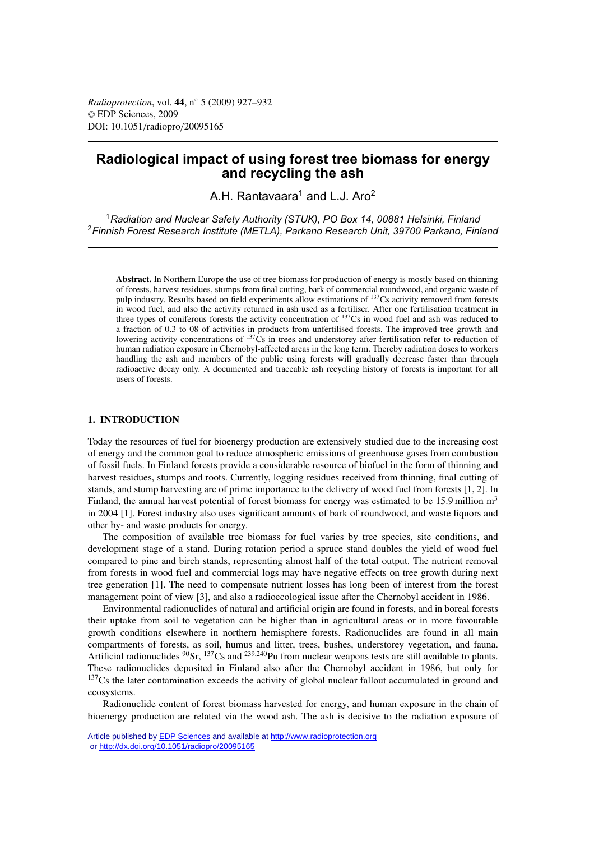# **Radiological impact of using forest tree biomass for energy and recycling the ash**

A.H. Rantavaara<sup>1</sup> and L.J. Aro<sup>2</sup>

<sup>1</sup>*Radiation and Nuclear Safety Authority (STUK), PO Box 14, 00881 Helsinki, Finland* <sup>2</sup>*Finnish Forest Research Institute (METLA), Parkano Research Unit, 39700 Parkano, Finland*

**Abstract.** In Northern Europe the use of tree biomass for production of energy is mostly based on thinning of forests, harvest residues, stumps from final cutting, bark of commercial roundwood, and organic waste of pulp industry. Results based on field experiments allow estimations of <sup>137</sup>Cs activity removed from forests in wood fuel, and also the activity returned in ash used as a fertiliser. After one fertilisation treatment in three types of coniferous forests the activity concentration of  $137Cs$  in wood fuel and ash was reduced to a fraction of 0.3 to 08 of activities in products from unfertilised forests. The improved tree growth and lowering activity concentrations of  $137\text{Cs}$  in trees and understorey after fertilisation refer to reduction of human radiation exposure in Chernobyl-affected areas in the long term. Thereby radiation doses to workers handling the ash and members of the public using forests will gradually decrease faster than through radioactive decay only. A documented and traceable ash recycling history of forests is important for all users of forests.

### **1. INTRODUCTION**

Today the resources of fuel for bioenergy production are extensively studied due to the increasing cost of energy and the common goal to reduce atmospheric emissions of greenhouse gases from combustion of fossil fuels. In Finland forests provide a considerable resource of biofuel in the form of thinning and harvest residues, stumps and roots. Currently, logging residues received from thinning, final cutting of stands, and stump harvesting are of prime importance to the delivery of wood fuel from forests [1, 2]. In Finland, the annual harvest potential of forest biomass for energy was estimated to be 15.9 million m<sup>3</sup> in 2004 [1]. Forest industry also uses significant amounts of bark of roundwood, and waste liquors and other by- and waste products for energy.

The composition of available tree biomass for fuel varies by tree species, site conditions, and development stage of a stand. During rotation period a spruce stand doubles the yield of wood fuel compared to pine and birch stands, representing almost half of the total output. The nutrient removal from forests in wood fuel and commercial logs may have negative effects on tree growth during next tree generation [1]. The need to compensate nutrient losses has long been of interest from the forest management point of view [3], and also a radioecological issue after the Chernobyl accident in 1986.

Environmental radionuclides of natural and artificial origin are found in forests, and in boreal forests their uptake from soil to vegetation can be higher than in agricultural areas or in more favourable growth conditions elsewhere in northern hemisphere forests. Radionuclides are found in all main compartments of forests, as soil, humus and litter, trees, bushes, understorey vegetation, and fauna. Artificial radionuclides <sup>90</sup>Sr, <sup>137</sup>Cs and <sup>239,240</sup>Pu from nuclear weapons tests are still available to plants. These radionuclides deposited in Finland also after the Chernobyl accident in 1986, but only for  $137Cs$  the later contamination exceeds the activity of global nuclear fallout accumulated in ground and ecosystems.

Radionuclide content of forest biomass harvested for energy, and human exposure in the chain of bioenergy production are related via the wood ash. The ash is decisive to the radiation exposure of

Article published by [EDP Sciences](http://www.edpsciences.org) and available at<http://www.radioprotection.org> or <http://dx.doi.org/10.1051/radiopro/20095165>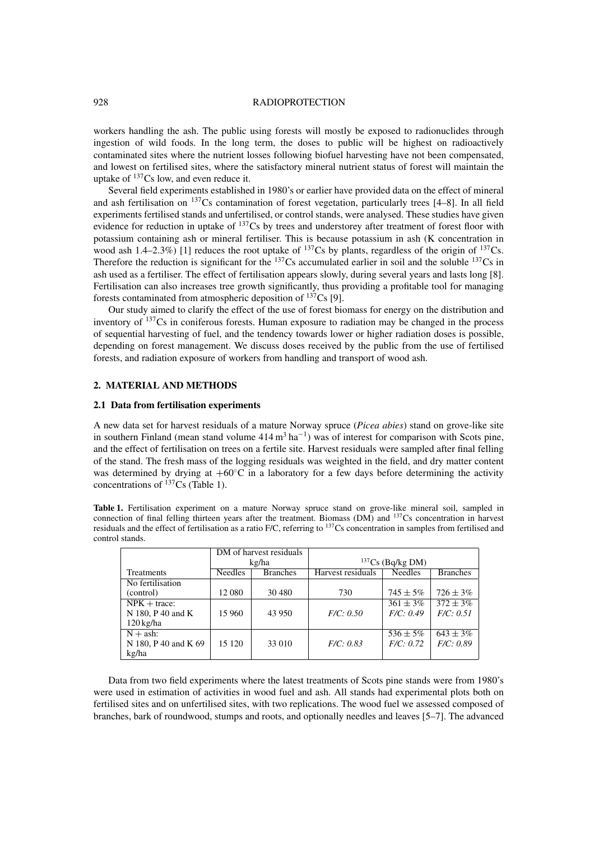### 928 RADIOPROTECTION

workers handling the ash. The public using forests will mostly be exposed to radionuclides through ingestion of wild foods. In the long term, the doses to public will be highest on radioactively contaminated sites where the nutrient losses following biofuel harvesting have not been compensated, and lowest on fertilised sites, where the satisfactory mineral nutrient status of forest will maintain the uptake of  $137Cs$  low, and even reduce it.

Several field experiments established in 1980's or earlier have provided data on the effect of mineral and ash fertilisation on 137Cs contamination of forest vegetation, particularly trees [4–8]. In all field experiments fertilised stands and unfertilised, or control stands, were analysed. These studies have given evidence for reduction in uptake of  $137Cs$  by trees and understorey after treatment of forest floor with potassium containing ash or mineral fertiliser. This is because potassium in ash (K concentration in wood ash  $1.4-2.3\%$ ) [1] reduces the root uptake of  $137Cs$  by plants, regardless of the origin of  $137Cs$ . Therefore the reduction is significant for the <sup>137</sup>Cs accumulated earlier in soil and the soluble <sup>137</sup>Cs in ash used as a fertiliser. The effect of fertilisation appears slowly, during several years and lasts long [8]. Fertilisation can also increases tree growth significantly, thus providing a profitable tool for managing forests contaminated from atmospheric deposition of  $^{137}Cs$  [9].

Our study aimed to clarify the effect of the use of forest biomass for energy on the distribution and inventory of <sup>137</sup>Cs in coniferous forests. Human exposure to radiation may be changed in the process of sequential harvesting of fuel, and the tendency towards lower or higher radiation doses is possible, depending on forest management. We discuss doses received by the public from the use of fertilised forests, and radiation exposure of workers from handling and transport of wood ash.

### **2. MATERIAL AND METHODS**

#### **2.1 Data from fertilisation experiments**

A new data set for harvest residuals of a mature Norway spruce (*Picea abies*) stand on grove-like site in southern Finland (mean stand volume  $414 \text{ m}^3 \text{ ha}^{-1}$ ) was of interest for comparison with Scots pine, and the effect of fertilisation on trees on a fertile site. Harvest residuals were sampled after final felling of the stand. The fresh mass of the logging residuals was weighted in the field, and dry matter content was determined by drying at  $+60^{\circ}\text{C}$  in a laboratory for a few days before determining the activity concentrations of  $^{137}Cs$  (Table 1).

**Table 1.** Fertilisation experiment on a mature Norway spruce stand on grove-like mineral soil, sampled in connection of final felling thirteen years after the treatment. Biomass (DM) and 137Cs concentration in harvest residuals and the effect of fertilisation as a ratio F/C, referring to 137Cs concentration in samples from fertilised and control stands.

|                      |                | DM of harvest residuals |                    |                |                 |
|----------------------|----------------|-------------------------|--------------------|----------------|-----------------|
|                      | kg/ha          |                         | $137Cs$ (Bq/kg DM) |                |                 |
| <b>Treatments</b>    | <b>Needles</b> | <b>Branches</b>         | Harvest residuals  | <b>Needles</b> | <b>Branches</b> |
| No fertilisation     |                |                         |                    |                |                 |
| (control)            | 12 080         | 30 480                  | 730                | $745 \pm 5\%$  | $726 \pm 3\%$   |
| $NPK + trace:$       |                |                         |                    | $361 \pm 3\%$  | $372 \pm 3\%$   |
| N 180, P 40 and K    | 15 960         | 43 950                  | F/C: 0.50          | F/C: 0.49      | F/C: 0.51       |
| $120 \text{ kg/ha}$  |                |                         |                    |                |                 |
| $N + ash$ :          |                |                         |                    | $536 \pm 5\%$  | $643 \pm 3\%$   |
| N 180, P 40 and K 69 | 15 1 20        | 33 010                  | F/C: 0.83          | F/C: 0.72      | F/C: 0.89       |
| kg/ha                |                |                         |                    |                |                 |

Data from two field experiments where the latest treatments of Scots pine stands were from 1980's were used in estimation of activities in wood fuel and ash. All stands had experimental plots both on fertilised sites and on unfertilised sites, with two replications. The wood fuel we assessed composed of branches, bark of roundwood, stumps and roots, and optionally needles and leaves [5–7]. The advanced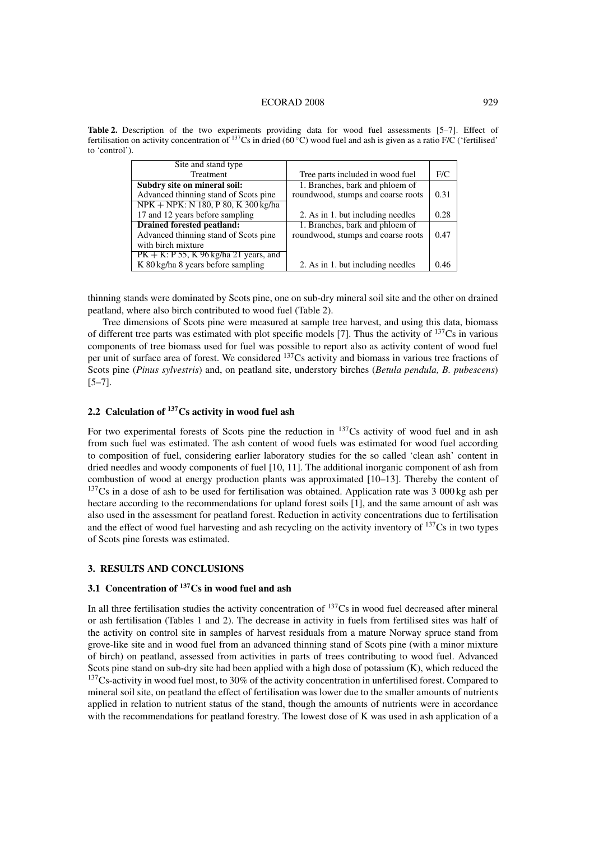### ECORAD 2008 929

| Site and stand type                       |                                    |      |
|-------------------------------------------|------------------------------------|------|
| Treatment                                 | Tree parts included in wood fuel   | F/C  |
| Subdry site on mineral soil:              | 1. Branches, bark and phloem of    |      |
| Advanced thinning stand of Scots pine     | roundwood, stumps and coarse roots | 0.31 |
| NPK + NPK: N 180, P 80, K 300 kg/ha       |                                    |      |
| 17 and 12 years before sampling           | 2. As in 1. but including needles  | 0.28 |
| <b>Drained forested peatland:</b>         | 1. Branches, bark and phloem of    |      |
| Advanced thinning stand of Scots pine     | roundwood, stumps and coarse roots | 0.47 |
| with birch mixture                        |                                    |      |
| $PK + K$ : P 55, K 96 kg/ha 21 years, and |                                    |      |
| K 80 kg/ha 8 years before sampling        | 2. As in 1. but including needles  | 0.46 |

**Table 2.** Description of the two experiments providing data for wood fuel assessments [5–7]. Effect of fertilisation on activity concentration of  $^{137}Cs$  in dried (60 °C) wood fuel and ash is given as a ratio F/C ('fertilised' to 'control').

thinning stands were dominated by Scots pine, one on sub-dry mineral soil site and the other on drained peatland, where also birch contributed to wood fuel (Table 2).

Tree dimensions of Scots pine were measured at sample tree harvest, and using this data, biomass of different tree parts was estimated with plot specific models [7]. Thus the activity of  $137\text{Cs}$  in various components of tree biomass used for fuel was possible to report also as activity content of wood fuel per unit of surface area of forest. We considered 137Cs activity and biomass in various tree fractions of Scots pine (*Pinus sylvestris*) and, on peatland site, understory birches (*Betula pendula, B. pubescens*)  $[5-7]$ .

# **2.2 Calculation of 137Cs activity in wood fuel ash**

For two experimental forests of Scots pine the reduction in  $137Cs$  activity of wood fuel and in ash from such fuel was estimated. The ash content of wood fuels was estimated for wood fuel according to composition of fuel, considering earlier laboratory studies for the so called 'clean ash' content in dried needles and woody components of fuel [10, 11]. The additional inorganic component of ash from combustion of wood at energy production plants was approximated [10–13]. Thereby the content of  $137Cs$  in a dose of ash to be used for fertilisation was obtained. Application rate was 3 000 kg ash per hectare according to the recommendations for upland forest soils [1], and the same amount of ash was also used in the assessment for peatland forest. Reduction in activity concentrations due to fertilisation and the effect of wood fuel harvesting and ash recycling on the activity inventory of  $137\text{Cs}$  in two types of Scots pine forests was estimated.

### **3. RESULTS AND CONCLUSIONS**

## **3.1 Concentration of 137Cs in wood fuel and ash**

In all three fertilisation studies the activity concentration of  $137Cs$  in wood fuel decreased after mineral or ash fertilisation (Tables 1 and 2). The decrease in activity in fuels from fertilised sites was half of the activity on control site in samples of harvest residuals from a mature Norway spruce stand from grove-like site and in wood fuel from an advanced thinning stand of Scots pine (with a minor mixture of birch) on peatland, assessed from activities in parts of trees contributing to wood fuel. Advanced Scots pine stand on sub-dry site had been applied with a high dose of potassium (K), which reduced the  $137$ Cs-activity in wood fuel most, to 30% of the activity concentration in unfertilised forest. Compared to mineral soil site, on peatland the effect of fertilisation was lower due to the smaller amounts of nutrients applied in relation to nutrient status of the stand, though the amounts of nutrients were in accordance with the recommendations for peatland forestry. The lowest dose of K was used in ash application of a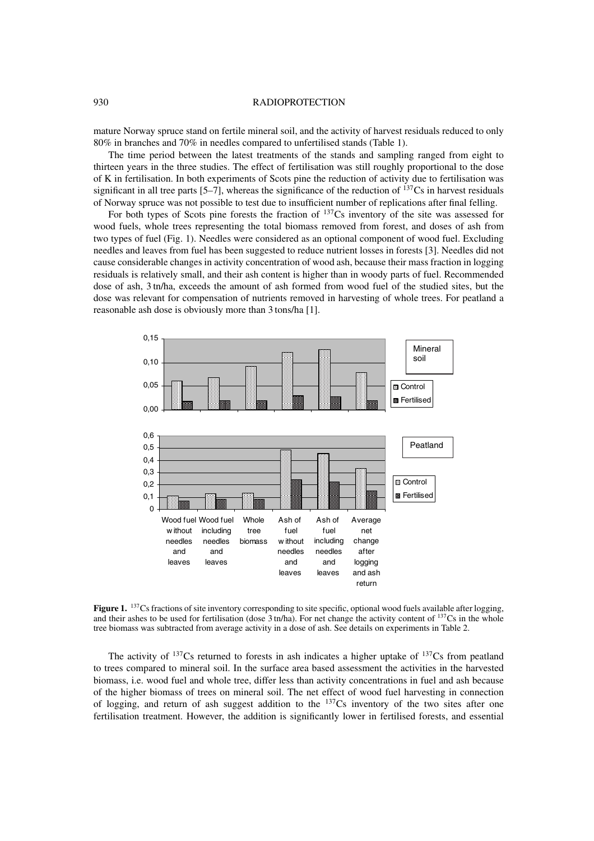### 930 RADIOPROTECTION

mature Norway spruce stand on fertile mineral soil, and the activity of harvest residuals reduced to only 80% in branches and 70% in needles compared to unfertilised stands (Table 1).

The time period between the latest treatments of the stands and sampling ranged from eight to thirteen years in the three studies. The effect of fertilisation was still roughly proportional to the dose of K in fertilisation. In both experiments of Scots pine the reduction of activity due to fertilisation was significant in all tree parts  $[5-7]$ , whereas the significance of the reduction of  $^{137}Cs$  in harvest residuals of Norway spruce was not possible to test due to insufficient number of replications after final felling.

For both types of Scots pine forests the fraction of  $137Cs$  inventory of the site was assessed for wood fuels, whole trees representing the total biomass removed from forest, and doses of ash from two types of fuel (Fig. 1). Needles were considered as an optional component of wood fuel. Excluding needles and leaves from fuel has been suggested to reduce nutrient losses in forests [3]. Needles did not cause considerable changes in activity concentration of wood ash, because their mass fraction in logging residuals is relatively small, and their ash content is higher than in woody parts of fuel. Recommended dose of ash, 3 tn/ha, exceeds the amount of ash formed from wood fuel of the studied sites, but the dose was relevant for compensation of nutrients removed in harvesting of whole trees. For peatland a reasonable ash dose is obviously more than 3 tons/ha [1].



**Figure 1.** <sup>137</sup>Cs fractions of site inventory corresponding to site specific, optional wood fuels available after logging. and their ashes to be used for fertilisation (dose  $3 \text{ tn/ha}$ ). For net change the activity content of  $137 \text{Cs}$  in the whole tree biomass was subtracted from average activity in a dose of ash. See details on experiments in Table 2.

The activity of  $137Cs$  returned to forests in ash indicates a higher uptake of  $137Cs$  from peatland to trees compared to mineral soil. In the surface area based assessment the activities in the harvested biomass, i.e. wood fuel and whole tree, differ less than activity concentrations in fuel and ash because of the higher biomass of trees on mineral soil. The net effect of wood fuel harvesting in connection of logging, and return of ash suggest addition to the 137Cs inventory of the two sites after one fertilisation treatment. However, the addition is significantly lower in fertilised forests, and essential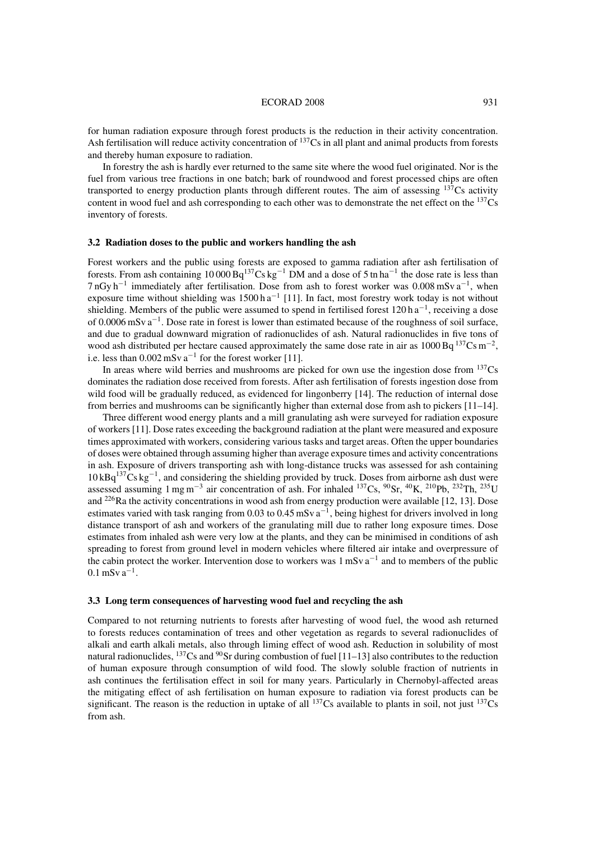### ECORAD 2008 931

for human radiation exposure through forest products is the reduction in their activity concentration. Ash fertilisation will reduce activity concentration of <sup>137</sup>Cs in all plant and animal products from forests and thereby human exposure to radiation.

In forestry the ash is hardly ever returned to the same site where the wood fuel originated. Nor is the fuel from various tree fractions in one batch; bark of roundwood and forest processed chips are often transported to energy production plants through different routes. The aim of assessing  $137Cs$  activity content in wood fuel and ash corresponding to each other was to demonstrate the net effect on the <sup>137</sup>Cs inventory of forests.

### **3.2 Radiation doses to the public and workers handling the ash**

Forest workers and the public using forests are exposed to gamma radiation after ash fertilisation of forests. From ash containing  $10\,000\,\text{Bq}^{137}\text{Cs}\,\text{kg}^{-1}$  DM and a dose of 5 tn ha<sup>-1</sup> the dose rate is less than 7 nGy h−<sup>1</sup> immediately after fertilisation. Dose from ash to forest worker was 0.008 mSv a−1, when exposure time without shielding was  $1500 h a^{-1}$  [11]. In fact, most forestry work today is not without shielding. Members of the public were assumed to spend in fertilised forest  $120 \text{ h a}^{-1}$ , receiving a dose of 0.0006 mSv a−1. Dose rate in forest is lower than estimated because of the roughness of soil surface, and due to gradual downward migration of radionuclides of ash. Natural radionuclides in five tons of wood ash distributed per hectare caused approximately the same dose rate in air as 1000 Bq <sup>137</sup>Cs m<sup>-2</sup>, i.e. less than  $0.002 \text{ mSv} \text{ a}^{-1}$  for the forest worker [11].

In areas where wild berries and mushrooms are picked for own use the ingestion dose from  $137Cs$ dominates the radiation dose received from forests. After ash fertilisation of forests ingestion dose from wild food will be gradually reduced, as evidenced for lingonberry [14]. The reduction of internal dose from berries and mushrooms can be significantly higher than external dose from ash to pickers [11–14].

Three different wood energy plants and a mill granulating ash were surveyed for radiation exposure of workers [11]. Dose rates exceeding the background radiation at the plant were measured and exposure times approximated with workers, considering various tasks and target areas. Often the upper boundaries of doses were obtained through assuming higher than average exposure times and activity concentrations in ash. Exposure of drivers transporting ash with long-distance trucks was assessed for ash containing 10 kBq<sup>137</sup>Cs kg<sup>-1</sup>, and considering the shielding provided by truck. Doses from airborne ash dust were assessed assuming 1 mg m−<sup>3</sup> air concentration of ash. For inhaled 137Cs, 90Sr, 40K, 210Pb, 232Th, 235U and  $^{226}$ Ra the activity concentrations in wood ash from energy production were available [12, 13]. Dose estimates varied with task ranging from 0.03 to 0.45 mSv  $a^{-1}$ , being highest for drivers involved in long distance transport of ash and workers of the granulating mill due to rather long exposure times. Dose estimates from inhaled ash were very low at the plants, and they can be minimised in conditions of ash spreading to forest from ground level in modern vehicles where filtered air intake and overpressure of the cabin protect the worker. Intervention dose to workers was  $1 \text{ mSv} \text{ a}^{-1}$  and to members of the public  $0.1$  mSv  $a^{-1}$ .

### **3.3 Long term consequences of harvesting wood fuel and recycling the ash**

Compared to not returning nutrients to forests after harvesting of wood fuel, the wood ash returned to forests reduces contamination of trees and other vegetation as regards to several radionuclides of alkali and earth alkali metals, also through liming effect of wood ash. Reduction in solubility of most natural radionuclides,  $^{137}Cs$  and  $^{90}Sr$  during combustion of fuel [11–13] also contributes to the reduction of human exposure through consumption of wild food. The slowly soluble fraction of nutrients in ash continues the fertilisation effect in soil for many years. Particularly in Chernobyl-affected areas the mitigating effect of ash fertilisation on human exposure to radiation via forest products can be significant. The reason is the reduction in uptake of all  $^{137}Cs$  available to plants in soil, not just  $^{137}Cs$ from ash.